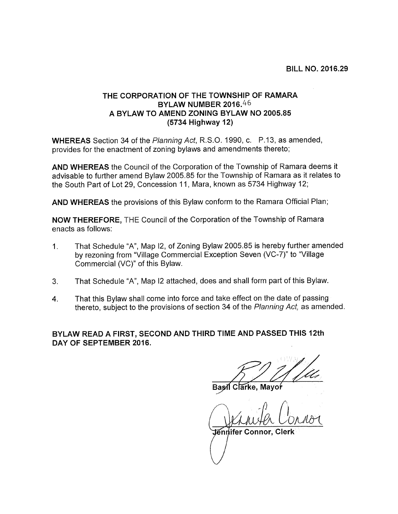## THE CORPORATION OF THE TOWNSHIP OF RAMARA BYLAW NUMBER 2016.46 A BYLAW TO AMEND ZONING BYLAW NO 2005.85 (5734 Highway 12)

WHEREAS Section 34 of the Planning Act, R.S.O. 1990, c. P.13, as amended, provides for the enactment of zoning bylaws and amendments thereto;

AND WHEREAS the Council of the Corporation of the Township of Ramara deems it advisable to further amend Bylaw 2005.85 for the Township of Ramara as it relates to the South Part of Lot 29, Concession 11, Mara, known as 5734 Highway 12;

AND WHEREAS the provisions of this Bylaw conform to the Ramara Official Plan;

NOW THEREFORE, THE Council of the Corporation of the Township of Ramara enacts as follows:

- 1. That Schedule "A", Map 12, of Zoning Bylaw 2005.85 is hereby further amended by rezoning from "Village Commercial Exception Seven (VC-7)" to "Village Commercial (VC)" of this Bylaw.
- 3. That Schedule "A", Map <sup>12</sup> attached, does and shall form part of this Bylaw.
- 4. That this Bylaw shall come into force and take effect on the date of passing thereto, subject to the provisions of section 34 of the Planning Act, as amended.

BYLAW READ A FIRST, SECOND AND THIRD TIME AND PASSED THIS 12th DAY OF SEPTEMBER 2016.

Clarke. Mayor

 $\bigcap_{i=1}^n A_i$ (WHANHA CO)<br>Tennifer Connor, Clerk M Clarke, May<br>M Clarke, May<br>Mifer Connor,